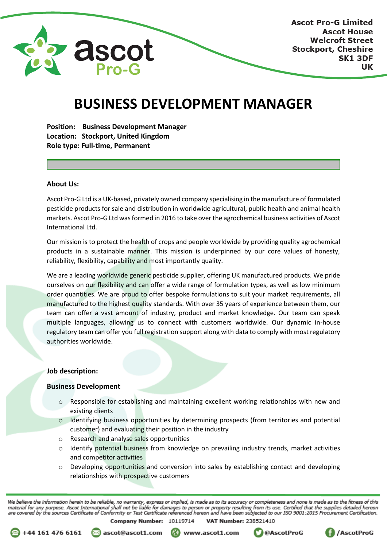

# **BUSINESS DEVELOPMENT MANAGER**

**Position: Business Development Manager Location: Stockport, United Kingdom Role type: Full-time, Permanent**

## **About Us:**

Ascot Pro-G Ltd is a UK-based, privately owned company specialising in the manufacture of formulated pesticide products for sale and distribution in worldwide agricultural, public health and animal health markets. Ascot Pro-G Ltd was formed in 2016 to take over the agrochemical business activities of Ascot International Ltd.

Our mission is to protect the health of crops and people worldwide by providing quality agrochemical products in a sustainable manner. This mission is underpinned by our core values of honesty, reliability, flexibility, capability and most importantly quality.

We are a leading worldwide generic pesticide supplier, offering UK manufactured products. We pride ourselves on our flexibility and can offer a wide range of formulation types, as well as low minimum order quantities. We are proud to offer bespoke formulations to suit your market requirements, all manufactured to the highest quality standards. With over 35 years of experience between them, our team can offer a vast amount of industry, product and market knowledge. Our team can speak multiple languages, allowing us to connect with customers worldwide. Our dynamic in-house regulatory team can offer you full registration support along with data to comply with most regulatory authorities worldwide.

### **Job description:**

## **Business Development**

- $\circ$  Responsible for establishing and maintaining excellent working relationships with new and existing clients
- $\circ$  Identifying business opportunities by determining prospects (from territories and potential customer) and evaluating their position in the industry
- o Research and analyse sales opportunities
- $\circ$  Identify potential business from knowledge on prevailing industry trends, market activities and competitor activities
- $\circ$  Developing opportunities and conversion into sales by establishing contact and developing relationships with prospective customers

We believe the information herein to be reliable, no warranty, express or implied, is made as to its accuracy or completeness and none is made as to the fitness of this material for any purpose. Ascot International shall not be liable for damages to person or property resulting from its use. Certified that the supplies detailed hereon<br>are covered by the sources Certificate of Conformity o Company Number: 10119714 **VAT Number: 238521410** 





www.ascot1.com



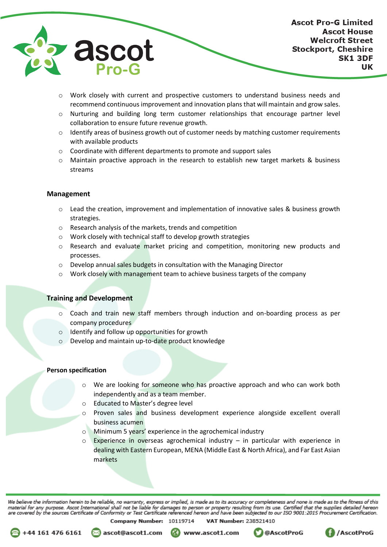

- o Work closely with current and prospective customers to understand business needs and recommend continuous improvement and innovation plans that will maintain and grow sales.
- o Nurturing and building long term customer relationships that encourage partner level collaboration to ensure future revenue growth.
- $\circ$  Identify areas of business growth out of customer needs by matching customer requirements with available products
- $\circ$  Coordinate with different departments to promote and support sales
- $\circ$  Maintain proactive approach in the research to establish new target markets & business streams

### **Management**

- Lead the creation, improvement and implementation of innovative sales & business growth strategies.
- o Research analysis of the markets, trends and competition
- o Work closely with technical staff to develop growth strategies
- $\circ$  Research and evaluate market pricing and competition, monitoring new products and processes.
- o Develop annual sales budgets in consultation with the Managing Director
- o Work closely with management team to achieve business targets of the company

#### **Training and Development**

- $\circ$  Coach and train new staff members through induction and on-boarding process as per company procedures
- o Identify and follow up opportunities for growth
- o Develop and maintain up-to-date product knowledge

#### **Person specification**

+44 161 476 6161

- We are looking for someone who has proactive approach and who can work both independently and as a team member.
- o Educated to Master's degree level
- o Proven sales and business development experience alongside excellent overall business acumen
- o Minimum 5 years' experience in the agrochemical industry
- Experience in overseas agrochemical industry  $-$  in particular with experience in dealing with Eastern European, MENA (Middle East & North Africa), and Far East Asian markets

We believe the information herein to be reliable, no warranty, express or implied, is made as to its accuracy or completeness and none is made as to the fitness of this material for any purpose. Ascot International shall not be liable for damages to person or property resulting from its use. Certified that the supplies detailed hereon<br>are covered by the sources Certificate of Conformity o **VAT Number: 238521410** 

Company Number: 10119714

⊠ ascot@ascot1.com

www.ascot1.com